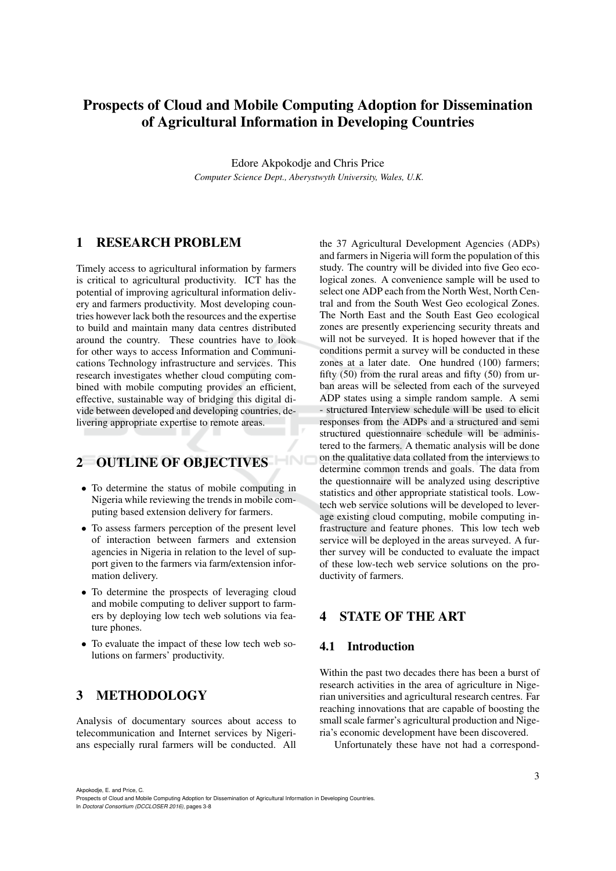# Prospects of Cloud and Mobile Computing Adoption for Dissemination of Agricultural Information in Developing Countries

Edore Akpokodje and Chris Price *Computer Science Dept., Aberystwyth University, Wales, U.K.*

### 1 RESEARCH PROBLEM

Timely access to agricultural information by farmers is critical to agricultural productivity. ICT has the potential of improving agricultural information delivery and farmers productivity. Most developing countries however lack both the resources and the expertise to build and maintain many data centres distributed around the country. These countries have to look for other ways to access Information and Communications Technology infrastructure and services. This research investigates whether cloud computing combined with mobile computing provides an efficient, effective, sustainable way of bridging this digital divide between developed and developing countries, delivering appropriate expertise to remote areas.

# 2 OUTLINE OF OBJECTIVES HNC

- To determine the status of mobile computing in Nigeria while reviewing the trends in mobile computing based extension delivery for farmers.
- To assess farmers perception of the present level of interaction between farmers and extension agencies in Nigeria in relation to the level of support given to the farmers via farm/extension information delivery.
- To determine the prospects of leveraging cloud and mobile computing to deliver support to farmers by deploying low tech web solutions via feature phones.
- To evaluate the impact of these low tech web solutions on farmers' productivity.

# 3 METHODOLOGY

Analysis of documentary sources about access to telecommunication and Internet services by Nigerians especially rural farmers will be conducted. All

the 37 Agricultural Development Agencies (ADPs) and farmers in Nigeria will form the population of this study. The country will be divided into five Geo ecological zones. A convenience sample will be used to select one ADP each from the North West, North Central and from the South West Geo ecological Zones. The North East and the South East Geo ecological zones are presently experiencing security threats and will not be surveyed. It is hoped however that if the conditions permit a survey will be conducted in these zones at a later date. One hundred (100) farmers; fifty  $(50)$  from the rural areas and fifty  $(50)$  from urban areas will be selected from each of the surveyed ADP states using a simple random sample. A semi - structured Interview schedule will be used to elicit responses from the ADPs and a structured and semi structured questionnaire schedule will be administered to the farmers. A thematic analysis will be done on the qualitative data collated from the interviews to determine common trends and goals. The data from the questionnaire will be analyzed using descriptive statistics and other appropriate statistical tools. Lowtech web service solutions will be developed to leverage existing cloud computing, mobile computing infrastructure and feature phones. This low tech web service will be deployed in the areas surveyed. A further survey will be conducted to evaluate the impact of these low-tech web service solutions on the productivity of farmers.

# 4 STATE OF THE ART

#### 4.1 Introduction

Within the past two decades there has been a burst of research activities in the area of agriculture in Nigerian universities and agricultural research centres. Far reaching innovations that are capable of boosting the small scale farmer's agricultural production and Nigeria's economic development have been discovered.

Unfortunately these have not had a correspond-

Akpokodje, E. and Price, C.

In *Doctoral Consortium (DCCLOSER 2016)*, pages 3-8

Prospects of Cloud and Mobile Computing Adoption for Dissemination of Agricultural Information in Developing Countries.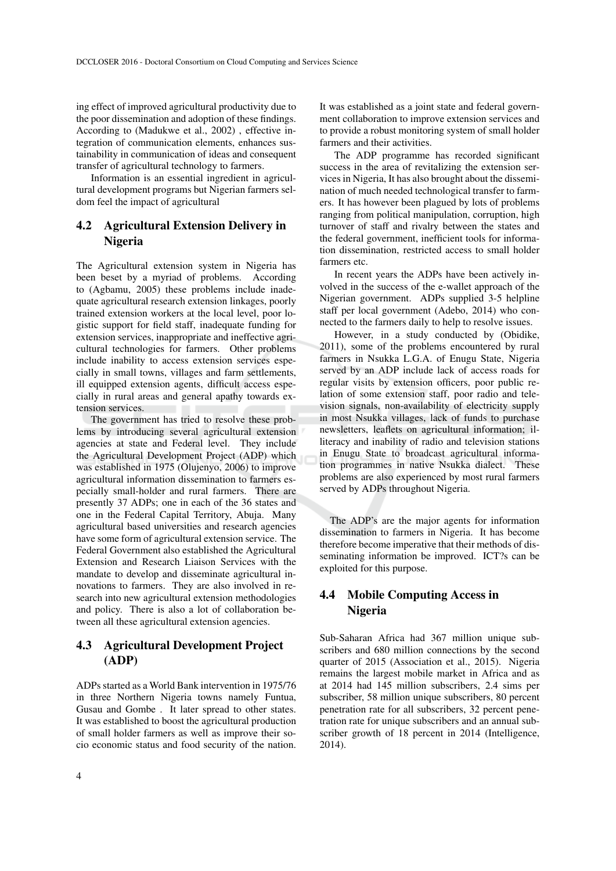ing effect of improved agricultural productivity due to the poor dissemination and adoption of these findings. According to (Madukwe et al., 2002) , effective integration of communication elements, enhances sustainability in communication of ideas and consequent transfer of agricultural technology to farmers.

Information is an essential ingredient in agricultural development programs but Nigerian farmers seldom feel the impact of agricultural

### 4.2 Agricultural Extension Delivery in Nigeria

The Agricultural extension system in Nigeria has been beset by a myriad of problems. According to (Agbamu, 2005) these problems include inadequate agricultural research extension linkages, poorly trained extension workers at the local level, poor logistic support for field staff, inadequate funding for extension services, inappropriate and ineffective agricultural technologies for farmers. Other problems include inability to access extension services especially in small towns, villages and farm settlements, ill equipped extension agents, difficult access especially in rural areas and general apathy towards extension services.

The government has tried to resolve these problems by introducing several agricultural extension agencies at state and Federal level. They include the Agricultural Development Project (ADP) which was established in 1975 (Olujenyo, 2006) to improve agricultural information dissemination to farmers especially small-holder and rural farmers. There are presently 37 ADPs; one in each of the 36 states and one in the Federal Capital Territory, Abuja. Many agricultural based universities and research agencies have some form of agricultural extension service. The Federal Government also established the Agricultural Extension and Research Liaison Services with the mandate to develop and disseminate agricultural innovations to farmers. They are also involved in research into new agricultural extension methodologies and policy. There is also a lot of collaboration between all these agricultural extension agencies.

## 4.3 Agricultural Development Project (ADP)

ADPs started as a World Bank intervention in 1975/76 in three Northern Nigeria towns namely Funtua, Gusau and Gombe . It later spread to other states. It was established to boost the agricultural production of small holder farmers as well as improve their socio economic status and food security of the nation.

It was established as a joint state and federal government collaboration to improve extension services and to provide a robust monitoring system of small holder farmers and their activities.

The ADP programme has recorded significant success in the area of revitalizing the extension services in Nigeria, It has also brought about the dissemination of much needed technological transfer to farmers. It has however been plagued by lots of problems ranging from political manipulation, corruption, high turnover of staff and rivalry between the states and the federal government, inefficient tools for information dissemination, restricted access to small holder farmers etc.

In recent years the ADPs have been actively involved in the success of the e-wallet approach of the Nigerian government. ADPs supplied 3-5 helpline staff per local government (Adebo, 2014) who connected to the farmers daily to help to resolve issues.

However, in a study conducted by (Obidike, 2011), some of the problems encountered by rural farmers in Nsukka L.G.A. of Enugu State, Nigeria served by an ADP include lack of access roads for regular visits by extension officers, poor public relation of some extension staff, poor radio and television signals, non-availability of electricity supply in most Nsukka villages, lack of funds to purchase newsletters, leaflets on agricultural information; illiteracy and inability of radio and television stations in Enugu State to broadcast agricultural information programmes in native Nsukka dialect. These problems are also experienced by most rural farmers served by ADPs throughout Nigeria.

The ADP's are the major agents for information dissemination to farmers in Nigeria. It has become therefore become imperative that their methods of disseminating information be improved. ICT?s can be exploited for this purpose.

### 4.4 Mobile Computing Access in Nigeria

Sub-Saharan Africa had 367 million unique subscribers and 680 million connections by the second quarter of 2015 (Association et al., 2015). Nigeria remains the largest mobile market in Africa and as at 2014 had 145 million subscribers, 2.4 sims per subscriber, 58 million unique subscribers, 80 percent penetration rate for all subscribers, 32 percent penetration rate for unique subscribers and an annual subscriber growth of 18 percent in 2014 (Intelligence, 2014).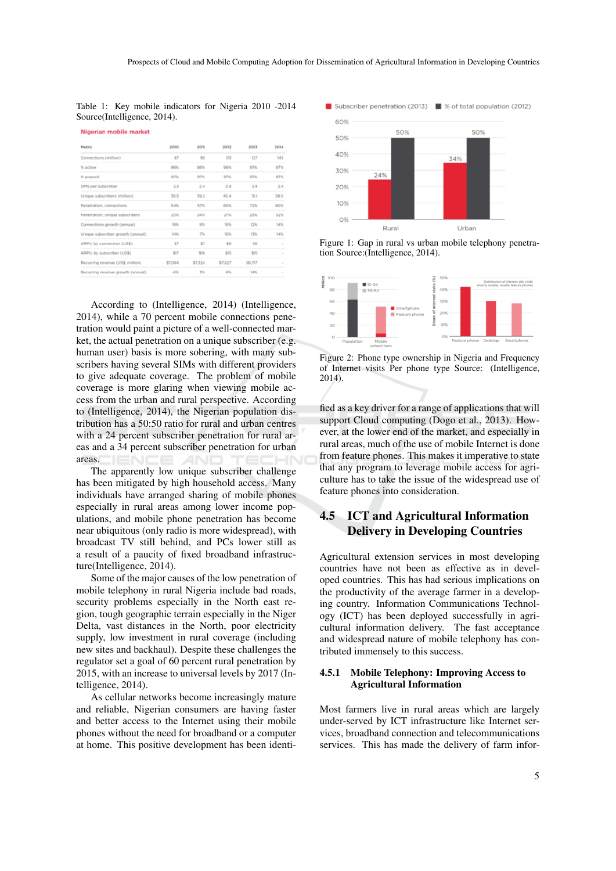Table 1: Key mobile indicators for Nigeria 2010 -2014 Source(Intelligence, 2014).

| Nigerian mobile market |  |  |
|------------------------|--|--|
|                        |  |  |

| Metric                            | 2010    | 2011    | 2012    | 2013    | 2014   |
|-----------------------------------|---------|---------|---------|---------|--------|
| Connections (million)             | B7      | 95      | 113     | 127     | 145    |
| % active                          | 9/8/96  | 98%     | 98%     | 97%     | 97%    |
| % prepaid                         | 97%     | 97%     | 97%     | 97%     | 97%    |
| SIMs per subscriber               | 2.3     | 2.4     | 2.4     | 2.4     | 2.4    |
| Unique subscribers (million)      | 36.5    | 39.2    | 45.4    | 511     | 58.0   |
| Penetration, connections          | 54%     | 57%     | 66%     | 72%     | 80%    |
| Penetration, unique subscribers   | 23%     | 24%     | 27%     | 29%     | 32%    |
| Connections growth (annual)       | 19%     | 9%      | 19%     | 12%     | 14%    |
| Unique subscriber growth (annual) | 14%     | 7%      | 16%     | 13%     | 14%    |
| ARPU, by connection (US\$)        | 57      | 57      | \$6     | 56      | $\sim$ |
| ARPU, by subscriber (US\$)        | \$17    | \$16    | \$15    | \$15    | $\sim$ |
| Recurring revenue (US\$, million) | \$7,084 | \$7,324 | \$7,627 | \$8,717 | $\sim$ |
| Recurring revenue growth (annual) | $-656$  | XV.     | 4%      | 14%     | $\sim$ |

According to (Intelligence, 2014) (Intelligence, 2014), while a 70 percent mobile connections penetration would paint a picture of a well-connected market, the actual penetration on a unique subscriber (e.g. human user) basis is more sobering, with many subscribers having several SIMs with different providers to give adequate coverage. The problem of mobile coverage is more glaring when viewing mobile access from the urban and rural perspective. According to (Intelligence, 2014), the Nigerian population distribution has a 50:50 ratio for rural and urban centres with a 24 percent subscriber penetration for rural areas and a 34 percent subscriber penetration for urban areas.

The apparently low unique subscriber challenge has been mitigated by high household access. Many individuals have arranged sharing of mobile phones especially in rural areas among lower income populations, and mobile phone penetration has become near ubiquitous (only radio is more widespread), with broadcast TV still behind, and PCs lower still as a result of a paucity of fixed broadband infrastructure(Intelligence, 2014).

Some of the major causes of the low penetration of mobile telephony in rural Nigeria include bad roads, security problems especially in the North east region, tough geographic terrain especially in the Niger Delta, vast distances in the North, poor electricity supply, low investment in rural coverage (including new sites and backhaul). Despite these challenges the regulator set a goal of 60 percent rural penetration by 2015, with an increase to universal levels by 2017 (Intelligence, 2014).

As cellular networks become increasingly mature and reliable, Nigerian consumers are having faster and better access to the Internet using their mobile phones without the need for broadband or a computer at home. This positive development has been identi-



Figure 1: Gap in rural vs urban mobile telephony penetration Source:(Intelligence, 2014).



Figure 2: Phone type ownership in Nigeria and Frequency of Internet visits Per phone type Source: (Intelligence, 2014).

fied as a key driver for a range of applications that will support Cloud computing (Dogo et al., 2013). However, at the lower end of the market, and especially in rural areas, much of the use of mobile Internet is done from feature phones. This makes it imperative to state that any program to leverage mobile access for agriculture has to take the issue of the widespread use of feature phones into consideration.

# 4.5 ICT and Agricultural Information Delivery in Developing Countries

Agricultural extension services in most developing countries have not been as effective as in developed countries. This has had serious implications on the productivity of the average farmer in a developing country. Information Communications Technology (ICT) has been deployed successfully in agricultural information delivery. The fast acceptance and widespread nature of mobile telephony has contributed immensely to this success.

#### 4.5.1 Mobile Telephony: Improving Access to Agricultural Information

Most farmers live in rural areas which are largely under-served by ICT infrastructure like Internet services, broadband connection and telecommunications services. This has made the delivery of farm infor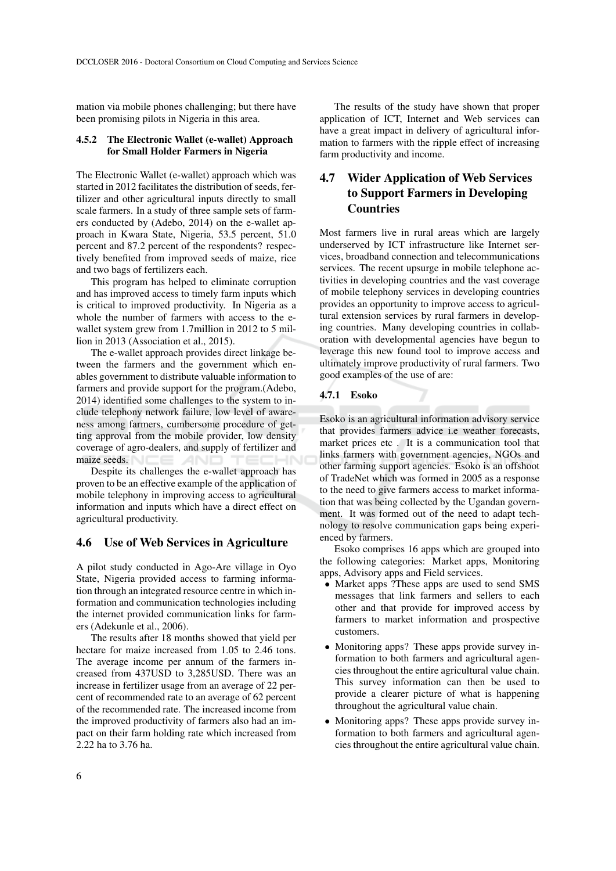mation via mobile phones challenging; but there have been promising pilots in Nigeria in this area.

#### 4.5.2 The Electronic Wallet (e-wallet) Approach for Small Holder Farmers in Nigeria

The Electronic Wallet (e-wallet) approach which was started in 2012 facilitates the distribution of seeds, fertilizer and other agricultural inputs directly to small scale farmers. In a study of three sample sets of farmers conducted by (Adebo, 2014) on the e-wallet approach in Kwara State, Nigeria, 53.5 percent, 51.0 percent and 87.2 percent of the respondents? respectively benefited from improved seeds of maize, rice and two bags of fertilizers each.

This program has helped to eliminate corruption and has improved access to timely farm inputs which is critical to improved productivity. In Nigeria as a whole the number of farmers with access to the ewallet system grew from 1.7million in 2012 to 5 million in 2013 (Association et al., 2015).

The e-wallet approach provides direct linkage between the farmers and the government which enables government to distribute valuable information to farmers and provide support for the program.(Adebo, 2014) identified some challenges to the system to include telephony network failure, low level of awareness among farmers, cumbersome procedure of getting approval from the mobile provider, low density coverage of agro-dealers, and supply of fertilizer and maize seeds.

Despite its challenges the e-wallet approach has proven to be an effective example of the application of mobile telephony in improving access to agricultural information and inputs which have a direct effect on agricultural productivity.

#### 4.6 Use of Web Services in Agriculture

A pilot study conducted in Ago-Are village in Oyo State, Nigeria provided access to farming information through an integrated resource centre in which information and communication technologies including the internet provided communication links for farmers (Adekunle et al., 2006).

The results after 18 months showed that yield per hectare for maize increased from 1.05 to 2.46 tons. The average income per annum of the farmers increased from 437USD to 3,285USD. There was an increase in fertilizer usage from an average of 22 percent of recommended rate to an average of 62 percent of the recommended rate. The increased income from the improved productivity of farmers also had an impact on their farm holding rate which increased from 2.22 ha to 3.76 ha.

The results of the study have shown that proper application of ICT, Internet and Web services can have a great impact in delivery of agricultural information to farmers with the ripple effect of increasing farm productivity and income.

# 4.7 Wider Application of Web Services to Support Farmers in Developing Countries

Most farmers live in rural areas which are largely underserved by ICT infrastructure like Internet services, broadband connection and telecommunications services. The recent upsurge in mobile telephone activities in developing countries and the vast coverage of mobile telephony services in developing countries provides an opportunity to improve access to agricultural extension services by rural farmers in developing countries. Many developing countries in collaboration with developmental agencies have begun to leverage this new found tool to improve access and ultimately improve productivity of rural farmers. Two good examples of the use of are:

#### 4.7.1 Esoko

Esoko is an agricultural information advisory service that provides farmers advice i.e weather forecasts, market prices etc . It is a communication tool that links farmers with government agencies, NGOs and other farming support agencies. Esoko is an offshoot of TradeNet which was formed in 2005 as a response to the need to give farmers access to market information that was being collected by the Ugandan government. It was formed out of the need to adapt technology to resolve communication gaps being experienced by farmers.

Esoko comprises 16 apps which are grouped into the following categories: Market apps, Monitoring apps, Advisory apps and Field services.

- Market apps ?These apps are used to send SMS messages that link farmers and sellers to each other and that provide for improved access by farmers to market information and prospective customers.
- Monitoring apps? These apps provide survey information to both farmers and agricultural agencies throughout the entire agricultural value chain. This survey information can then be used to provide a clearer picture of what is happening throughout the agricultural value chain.
- Monitoring apps? These apps provide survey information to both farmers and agricultural agencies throughout the entire agricultural value chain.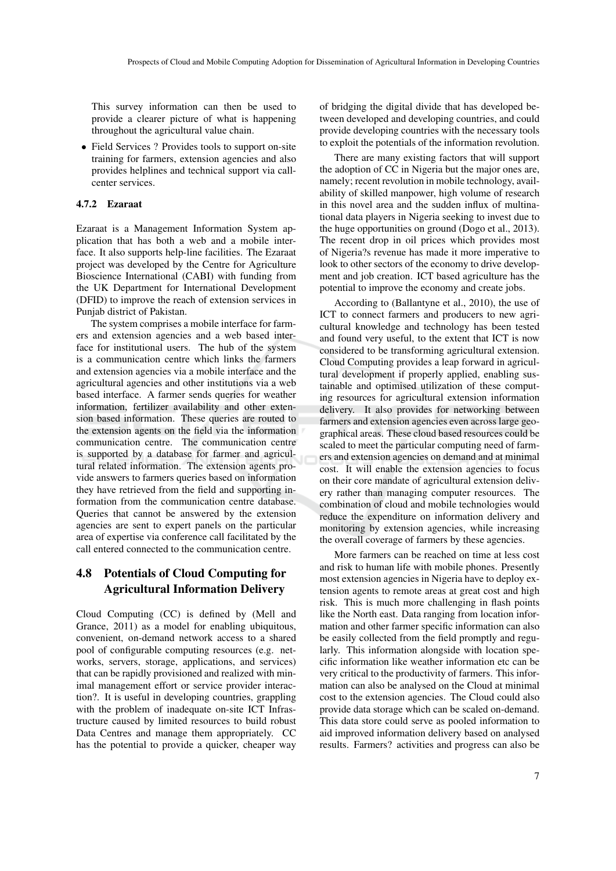This survey information can then be used to provide a clearer picture of what is happening throughout the agricultural value chain.

• Field Services ? Provides tools to support on-site training for farmers, extension agencies and also provides helplines and technical support via callcenter services.

#### 4.7.2 Ezaraat

Ezaraat is a Management Information System application that has both a web and a mobile interface. It also supports help-line facilities. The Ezaraat project was developed by the Centre for Agriculture Bioscience International (CABI) with funding from the UK Department for International Development (DFID) to improve the reach of extension services in Punjab district of Pakistan.

The system comprises a mobile interface for farmers and extension agencies and a web based interface for institutional users. The hub of the system is a communication centre which links the farmers and extension agencies via a mobile interface and the agricultural agencies and other institutions via a web based interface. A farmer sends queries for weather information, fertilizer availability and other extension based information. These queries are routed to the extension agents on the field via the information communication centre. The communication centre is supported by a database for farmer and agricultural related information. The extension agents provide answers to farmers queries based on information they have retrieved from the field and supporting information from the communication centre database. Queries that cannot be answered by the extension agencies are sent to expert panels on the particular area of expertise via conference call facilitated by the call entered connected to the communication centre.

## 4.8 Potentials of Cloud Computing for Agricultural Information Delivery

Cloud Computing (CC) is defined by (Mell and Grance, 2011) as a model for enabling ubiquitous, convenient, on-demand network access to a shared pool of configurable computing resources (e.g. networks, servers, storage, applications, and services) that can be rapidly provisioned and realized with minimal management effort or service provider interaction?. It is useful in developing countries, grappling with the problem of inadequate on-site ICT Infrastructure caused by limited resources to build robust Data Centres and manage them appropriately. CC has the potential to provide a quicker, cheaper way

of bridging the digital divide that has developed between developed and developing countries, and could provide developing countries with the necessary tools to exploit the potentials of the information revolution.

There are many existing factors that will support the adoption of CC in Nigeria but the major ones are, namely; recent revolution in mobile technology, availability of skilled manpower, high volume of research in this novel area and the sudden influx of multinational data players in Nigeria seeking to invest due to the huge opportunities on ground (Dogo et al., 2013). The recent drop in oil prices which provides most of Nigeria?s revenue has made it more imperative to look to other sectors of the economy to drive development and job creation. ICT based agriculture has the potential to improve the economy and create jobs.

According to (Ballantyne et al., 2010), the use of ICT to connect farmers and producers to new agricultural knowledge and technology has been tested and found very useful, to the extent that ICT is now considered to be transforming agricultural extension. Cloud Computing provides a leap forward in agricultural development if properly applied, enabling sustainable and optimised utilization of these computing resources for agricultural extension information delivery. It also provides for networking between farmers and extension agencies even across large geographical areas. These cloud based resources could be scaled to meet the particular computing need of farmers and extension agencies on demand and at minimal cost. It will enable the extension agencies to focus on their core mandate of agricultural extension delivery rather than managing computer resources. The combination of cloud and mobile technologies would reduce the expenditure on information delivery and monitoring by extension agencies, while increasing the overall coverage of farmers by these agencies.

More farmers can be reached on time at less cost and risk to human life with mobile phones. Presently most extension agencies in Nigeria have to deploy extension agents to remote areas at great cost and high risk. This is much more challenging in flash points like the North east. Data ranging from location information and other farmer specific information can also be easily collected from the field promptly and regularly. This information alongside with location specific information like weather information etc can be very critical to the productivity of farmers. This information can also be analysed on the Cloud at minimal cost to the extension agencies. The Cloud could also provide data storage which can be scaled on-demand. This data store could serve as pooled information to aid improved information delivery based on analysed results. Farmers? activities and progress can also be